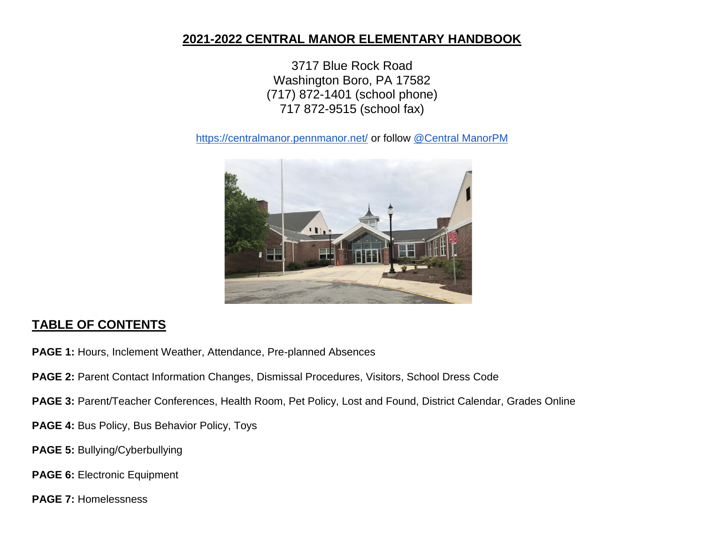# **2021-2022 CENTRAL MANOR ELEMENTARY HANDBOOK**

3717 Blue Rock Road Washington Boro, PA 17582 (717) 872-1401 (school phone) 717 872-9515 (school fax)

<https://centralmanor.pennmanor.net/> or follow [@Central ManorPM](https://twitter.com/CentralManorPM)



# **TABLE OF CONTENTS**

- **PAGE 1:** Hours, Inclement Weather, Attendance, Pre-planned Absences
- **PAGE 2: Parent Contact Information Changes, Dismissal Procedures, Visitors, School Dress Code**
- **PAGE 3: Parent/Teacher Conferences, Health Room, Pet Policy, Lost and Found, District Calendar, Grades Online**
- **PAGE 4:** Bus Policy, Bus Behavior Policy, Toys
- **PAGE 5:** Bullying/Cyberbullying
- **PAGE 6: Electronic Equipment**
- **PAGE 7:** Homelessness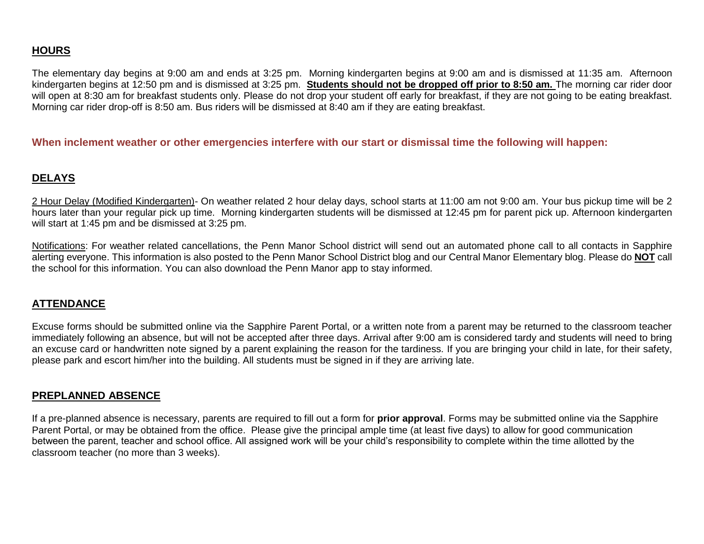# **HOURS**

The elementary day begins at 9:00 am and ends at 3:25 pm. Morning kindergarten begins at 9:00 am and is dismissed at 11:35 am. Afternoon kindergarten begins at 12:50 pm and is dismissed at 3:25 pm. **Students should not be dropped off prior to 8:50 am.** The morning car rider door will open at 8:30 am for breakfast students only. Please do not drop your student off early for breakfast, if they are not going to be eating breakfast. Morning car rider drop-off is 8:50 am. Bus riders will be dismissed at 8:40 am if they are eating breakfast.

#### **When inclement weather or other emergencies interfere with our start or dismissal time the following will happen:**

### **DELAYS**

2 Hour Delay (Modified Kindergarten)- On weather related 2 hour delay days, school starts at 11:00 am not 9:00 am. Your bus pickup time will be 2 hours later than your regular pick up time. Morning kindergarten students will be dismissed at 12:45 pm for parent pick up. Afternoon kindergarten will start at 1:45 pm and be dismissed at 3:25 pm.

Notifications: For weather related cancellations, the Penn Manor School district will send out an automated phone call to all contacts in Sapphire alerting everyone. This information is also posted to the Penn Manor School District blog and our Central Manor Elementary blog. Please do **NOT** call the school for this information. You can also download the Penn Manor app to stay informed.

#### **ATTENDANCE**

Excuse forms should be submitted online via the Sapphire Parent Portal, or a written note from a parent may be returned to the classroom teacher immediately following an absence, but will not be accepted after three days. Arrival after 9:00 am is considered tardy and students will need to bring an excuse card or handwritten note signed by a parent explaining the reason for the tardiness. If you are bringing your child in late, for their safety, please park and escort him/her into the building. All students must be signed in if they are arriving late.

#### **PREPLANNED ABSENCE**

If a pre-planned absence is necessary, parents are required to fill out a form for **prior approval**. Forms may be submitted online via the Sapphire Parent Portal, or may be obtained from the office. Please give the principal ample time (at least five days) to allow for good communication between the parent, teacher and school office. All assigned work will be your child's responsibility to complete within the time allotted by the classroom teacher (no more than 3 weeks).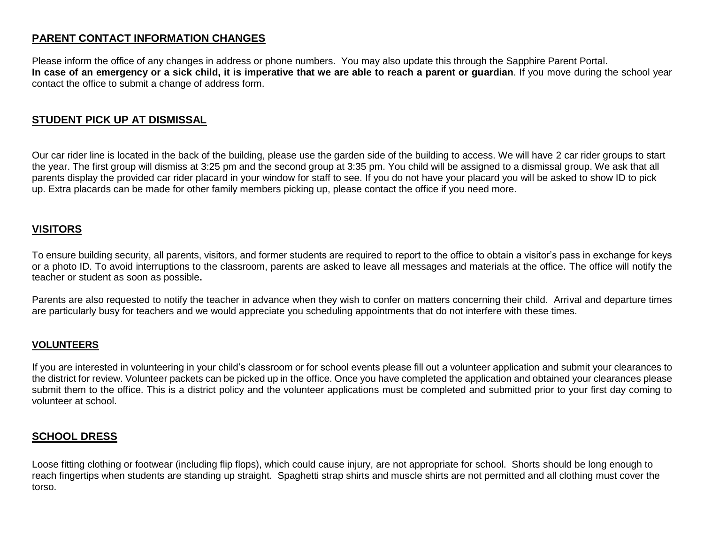# **PARENT CONTACT INFORMATION CHANGES**

Please inform the office of any changes in address or phone numbers. You may also update this through the Sapphire Parent Portal. **In case of an emergency or a sick child, it is imperative that we are able to reach a parent or guardian**. If you move during the school year contact the office to submit a change of address form.

# **STUDENT PICK UP AT DISMISSAL**

Our car rider line is located in the back of the building, please use the garden side of the building to access. We will have 2 car rider groups to start the year. The first group will dismiss at 3:25 pm and the second group at 3:35 pm. You child will be assigned to a dismissal group. We ask that all parents display the provided car rider placard in your window for staff to see. If you do not have your placard you will be asked to show ID to pick up. Extra placards can be made for other family members picking up, please contact the office if you need more.

# **VISITORS**

To ensure building security, all parents, visitors, and former students are required to report to the office to obtain a visitor's pass in exchange for keys or a photo ID. To avoid interruptions to the classroom, parents are asked to leave all messages and materials at the office. The office will notify the teacher or student as soon as possible**.**

Parents are also requested to notify the teacher in advance when they wish to confer on matters concerning their child. Arrival and departure times are particularly busy for teachers and we would appreciate you scheduling appointments that do not interfere with these times.

#### **VOLUNTEERS**

If you are interested in volunteering in your child's classroom or for school events please fill out a volunteer application and submit your clearances to the district for review. Volunteer packets can be picked up in the office. Once you have completed the application and obtained your clearances please submit them to the office. This is a district policy and the volunteer applications must be completed and submitted prior to your first day coming to volunteer at school.

## **SCHOOL DRESS**

Loose fitting clothing or footwear (including flip flops), which could cause injury, are not appropriate for school. Shorts should be long enough to reach fingertips when students are standing up straight. Spaghetti strap shirts and muscle shirts are not permitted and all clothing must cover the torso.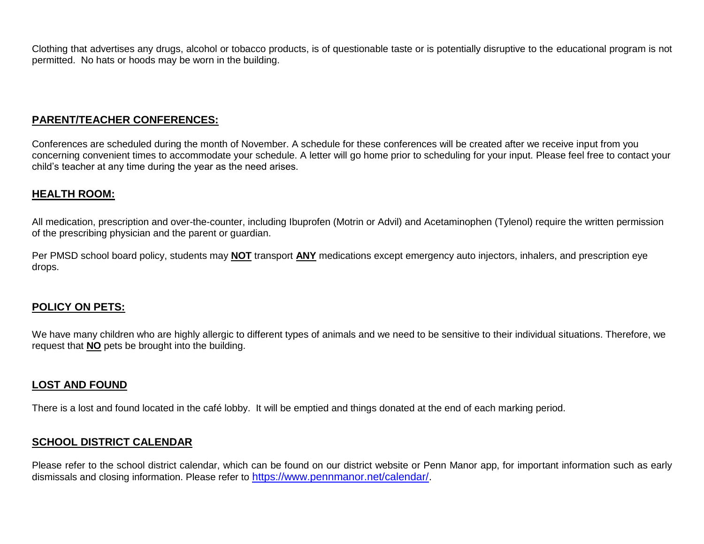Clothing that advertises any drugs, alcohol or tobacco products, is of questionable taste or is potentially disruptive to the educational program is not permitted. No hats or hoods may be worn in the building.

# **PARENT/TEACHER CONFERENCES:**

Conferences are scheduled during the month of November. A schedule for these conferences will be created after we receive input from you concerning convenient times to accommodate your schedule. A letter will go home prior to scheduling for your input. Please feel free to contact your child's teacher at any time during the year as the need arises.

#### **HEALTH ROOM:**

All medication, prescription and over-the-counter, including Ibuprofen (Motrin or Advil) and Acetaminophen (Tylenol) require the written permission of the prescribing physician and the parent or guardian.

Per PMSD school board policy, students may **NOT** transport **ANY** medications except emergency auto injectors, inhalers, and prescription eye drops.

## **POLICY ON PETS:**

We have many children who are highly allergic to different types of animals and we need to be sensitive to their individual situations. Therefore, we request that **NO** pets be brought into the building.

## **LOST AND FOUND**

There is a lost and found located in the café lobby. It will be emptied and things donated at the end of each marking period.

## **SCHOOL DISTRICT CALENDAR**

Please refer to the school district calendar, which can be found on our district website or Penn Manor app, for important information such as early dismissals and closing information. Please refer to [https://www.pennmanor.net/calendar/.](https://www.pennmanor.net/calendar/)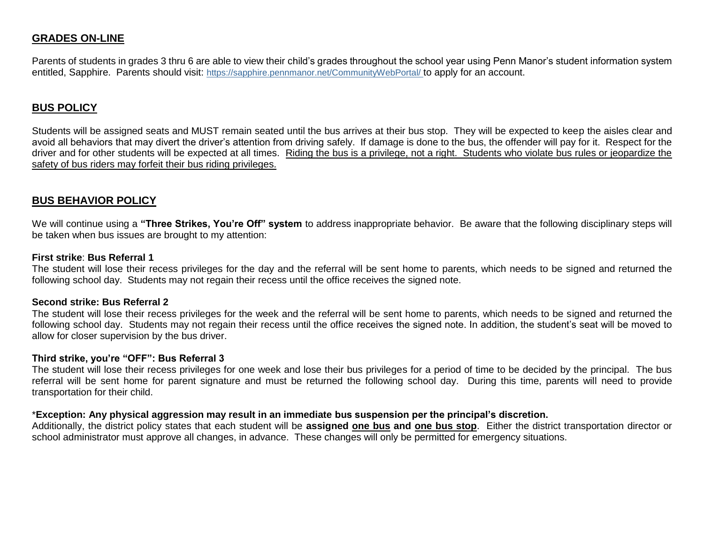### **GRADES ON-LINE**

Parents of students in grades 3 thru 6 are able to view their child's grades throughout the school year using Penn Manor's student information system entitled, Sapphire. Parents should visit: <https://sapphire.pennmanor.net/CommunityWebPortal/> to apply for an account.

#### **BUS POLICY**

Students will be assigned seats and MUST remain seated until the bus arrives at their bus stop. They will be expected to keep the aisles clear and avoid all behaviors that may divert the driver's attention from driving safely. If damage is done to the bus, the offender will pay for it. Respect for the driver and for other students will be expected at all times. Riding the bus is a privilege, not a right. Students who violate bus rules or jeopardize the safety of bus riders may forfeit their bus riding privileges.

#### **BUS BEHAVIOR POLICY**

We will continue using a **"Three Strikes, You're Off" system** to address inappropriate behavior. Be aware that the following disciplinary steps will be taken when bus issues are brought to my attention:

#### **First strike**: **Bus Referral 1**

The student will lose their recess privileges for the day and the referral will be sent home to parents, which needs to be signed and returned the following school day. Students may not regain their recess until the office receives the signed note.

#### **Second strike: Bus Referral 2**

The student will lose their recess privileges for the week and the referral will be sent home to parents, which needs to be signed and returned the following school day. Students may not regain their recess until the office receives the signed note. In addition, the student's seat will be moved to allow for closer supervision by the bus driver.

#### **Third strike, you're "OFF": Bus Referral 3**

The student will lose their recess privileges for one week and lose their bus privileges for a period of time to be decided by the principal. The bus referral will be sent home for parent signature and must be returned the following school day. During this time, parents will need to provide transportation for their child.

#### \***Exception: Any physical aggression may result in an immediate bus suspension per the principal's discretion.**

Additionally, the district policy states that each student will be **assigned one bus and one bus stop**. Either the district transportation director or school administrator must approve all changes, in advance. These changes will only be permitted for emergency situations.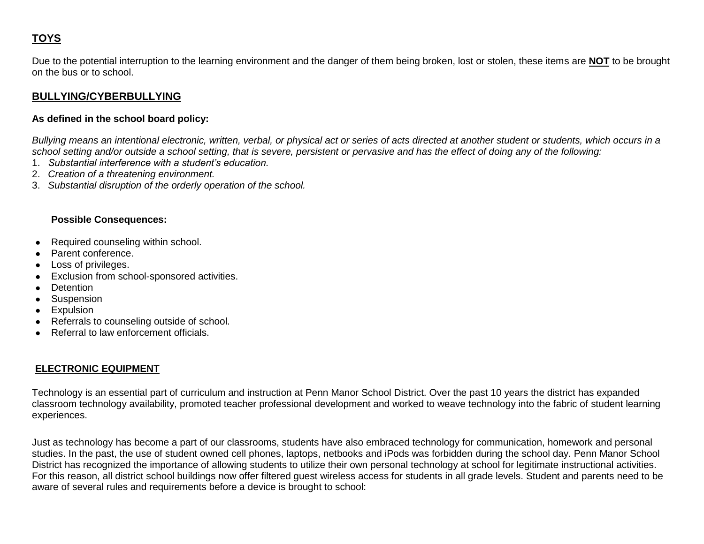# **TOYS**

Due to the potential interruption to the learning environment and the danger of them being broken, lost or stolen, these items are **NOT** to be brought on the bus or to school.

# **BULLYING/CYBERBULLYING**

#### **As defined in the school board policy:**

*Bullying means an intentional electronic, written, verbal, or physical act or series of acts directed at another student or students, which occurs in a school setting and/or outside a school setting, that is severe, persistent or pervasive and has the effect of doing any of the following:*

- 1. *Substantial interference with a student's education.*
- 2. *Creation of a threatening environment.*
- 3. *Substantial disruption of the orderly operation of the school.*

#### **Possible Consequences:**

- Required counseling within school.
- Parent conference.
- Loss of privileges.
- Exclusion from school-sponsored activities.
- Detention
- Suspension
- Expulsion
- Referrals to counseling outside of school.
- Referral to law enforcement officials.

## **ELECTRONIC EQUIPMENT**

Technology is an essential part of curriculum and instruction at Penn Manor School District. Over the past 10 years the district has expanded classroom technology availability, promoted teacher professional development and worked to weave technology into the fabric of student learning experiences.

Just as technology has become a part of our classrooms, students have also embraced technology for communication, homework and personal studies. In the past, the use of student owned cell phones, laptops, netbooks and iPods was forbidden during the school day. Penn Manor School District has recognized the importance of allowing students to utilize their own personal technology at school for legitimate instructional activities. For this reason, all district school buildings now offer filtered guest wireless access for students in all grade levels. Student and parents need to be aware of several rules and requirements before a device is brought to school: